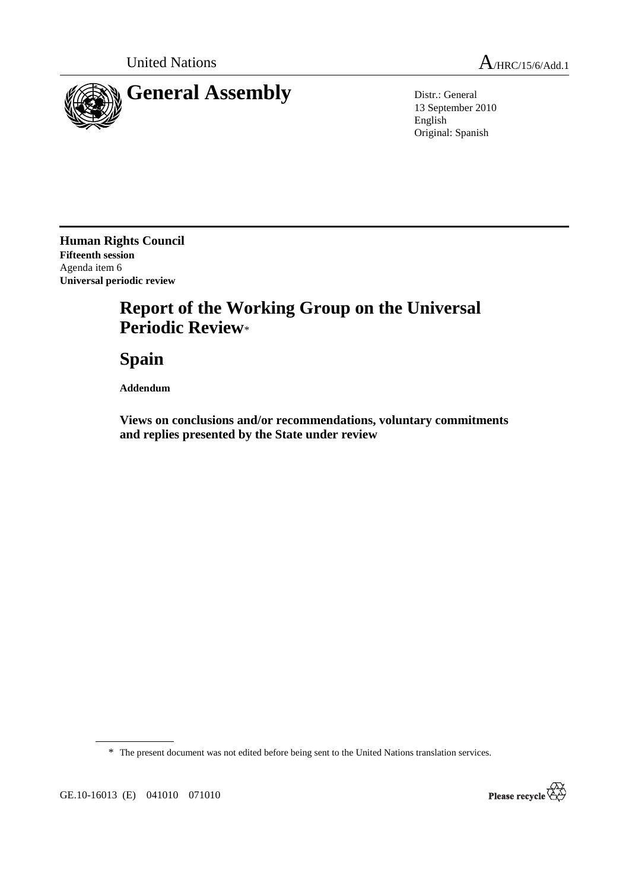

13 September 2010 English Original: Spanish

**Human Rights Council Fifteenth session**  Agenda item 6 **Universal periodic review** 

# **Report of the Working Group on the Universal Periodic Review**\*

 **Spain** 

 **Addendum** 

 **Views on conclusions and/or recommendations, voluntary commitments and replies presented by the State under review** 

\* The present document was not edited before being sent to the United Nations translation services.



GE.10-16013 (E) 041010 071010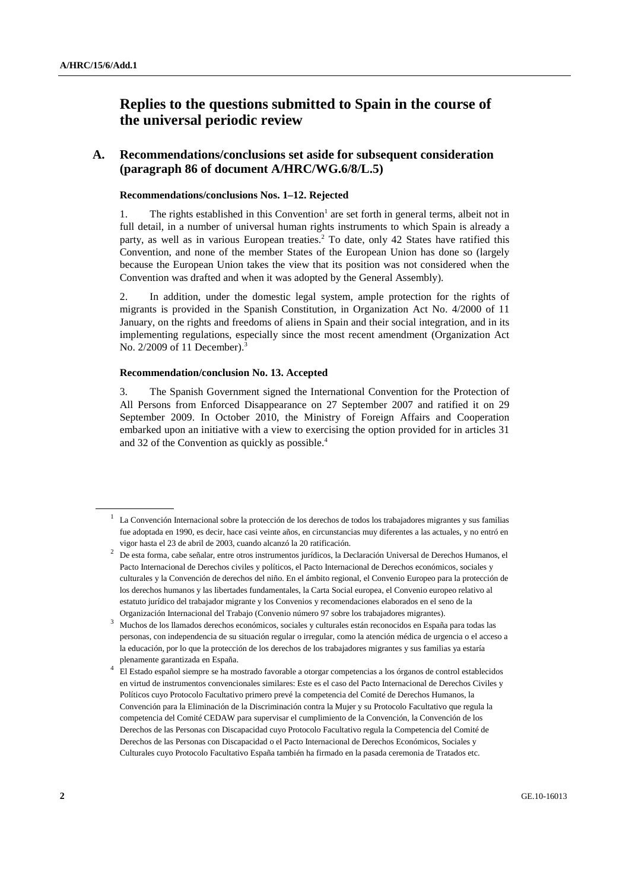# **Replies to the questions submitted to Spain in the course of the universal periodic review**

### **A. Recommendations/conclusions set aside for subsequent consideration (paragraph 86 of document A/HRC/WG.6/8/L.5)**

#### **Recommendations/conclusions Nos. 1–12. Rejected**

1. The rights established in this Convention<sup>1</sup> are set forth in general terms, albeit not in full detail, in a number of universal human rights instruments to which Spain is already a party, as well as in various European treaties.<sup>2</sup> To date, only 42 States have ratified this Convention, and none of the member States of the European Union has done so (largely because the European Union takes the view that its position was not considered when the Convention was drafted and when it was adopted by the General Assembly).

2. In addition, under the domestic legal system, ample protection for the rights of migrants is provided in the Spanish Constitution, in Organization Act No. 4/2000 of 11 January, on the rights and freedoms of aliens in Spain and their social integration, and in its implementing regulations, especially since the most recent amendment (Organization Act No. 2/2009 of 11 December).<sup>3</sup>

#### **Recommendation/conclusion No. 13. Accepted**

3. The Spanish Government signed the International Convention for the Protection of All Persons from Enforced Disappearance on 27 September 2007 and ratified it on 29 September 2009. In October 2010, the Ministry of Foreign Affairs and Cooperation embarked upon an initiative with a view to exercising the option provided for in articles 31 and 32 of the Convention as quickly as possible. $4$ 

 $<sup>1</sup>$  La Convención Internacional sobre la protección de los derechos de todos los trabajadores migrantes y sus familias</sup> fue adoptada en 1990, es decir, hace casi veinte años, en circunstancias muy diferentes a las actuales, y no entró en vigor hasta el 23 de abril de 2003, cuando alcanzó la 20 ratificación.

<sup>2</sup> De esta forma, cabe señalar, entre otros instrumentos jurídicos, la Declaración Universal de Derechos Humanos, el Pacto Internacional de Derechos civiles y políticos, el Pacto Internacional de Derechos económicos, sociales y culturales y la Convención de derechos del niño. En el ámbito regional, el Convenio Europeo para la protección de los derechos humanos y las libertades fundamentales, la Carta Social europea, el Convenio europeo relativo al estatuto jurídico del trabajador migrante y los Convenios y recomendaciones elaborados en el seno de la Organización Internacional del Trabajo (Convenio número 97 sobre los trabajadores migrantes).

<sup>3</sup> Muchos de los llamados derechos económicos, sociales y culturales están reconocidos en España para todas las personas, con independencia de su situación regular o irregular, como la atención médica de urgencia o el acceso a la educación, por lo que la protección de los derechos de los trabajadores migrantes y sus familias ya estaría plenamente garantizada en España.

<sup>4</sup> El Estado español siempre se ha mostrado favorable a otorgar competencias a los órganos de control establecidos en virtud de instrumentos convencionales similares: Este es el caso del Pacto Internacional de Derechos Civiles y Políticos cuyo Protocolo Facultativo primero prevé la competencia del Comité de Derechos Humanos, la Convención para la Eliminación de la Discriminación contra la Mujer y su Protocolo Facultativo que regula la competencia del Comité CEDAW para supervisar el cumplimiento de la Convención, la Convención de los Derechos de las Personas con Discapacidad cuyo Protocolo Facultativo regula la Competencia del Comité de Derechos de las Personas con Discapacidad o el Pacto Internacional de Derechos Económicos, Sociales y Culturales cuyo Protocolo Facultativo España también ha firmado en la pasada ceremonia de Tratados etc.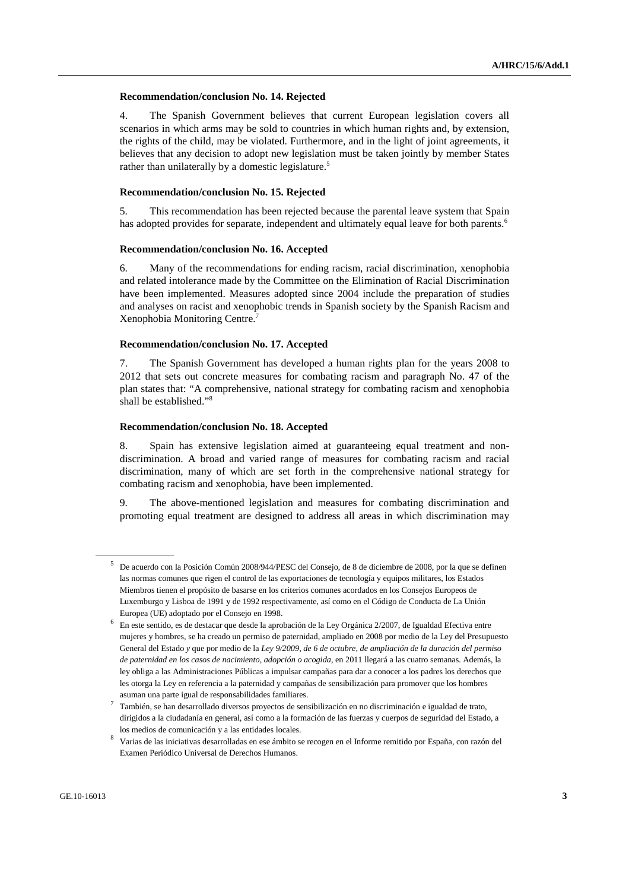#### **Recommendation/conclusion No. 14. Rejected**

4. The Spanish Government believes that current European legislation covers all scenarios in which arms may be sold to countries in which human rights and, by extension, the rights of the child, may be violated. Furthermore, and in the light of joint agreements, it believes that any decision to adopt new legislation must be taken jointly by member States rather than unilaterally by a domestic legislature.<sup>5</sup>

#### **Recommendation/conclusion No. 15. Rejected**

5. This recommendation has been rejected because the parental leave system that Spain has adopted provides for separate, independent and ultimately equal leave for both parents.<sup>6</sup>

#### **Recommendation/conclusion No. 16. Accepted**

6. Many of the recommendations for ending racism, racial discrimination, xenophobia and related intolerance made by the Committee on the Elimination of Racial Discrimination have been implemented. Measures adopted since 2004 include the preparation of studies and analyses on racist and xenophobic trends in Spanish society by the Spanish Racism and Xenophobia Monitoring Centre.7

#### **Recommendation/conclusion No. 17. Accepted**

7. The Spanish Government has developed a human rights plan for the years 2008 to 2012 that sets out concrete measures for combating racism and paragraph No. 47 of the plan states that: "A comprehensive, national strategy for combating racism and xenophobia shall be established."8

#### **Recommendation/conclusion No. 18. Accepted**

8. Spain has extensive legislation aimed at guaranteeing equal treatment and nondiscrimination. A broad and varied range of measures for combating racism and racial discrimination, many of which are set forth in the comprehensive national strategy for combating racism and xenophobia, have been implemented.

9. The above-mentioned legislation and measures for combating discrimination and promoting equal treatment are designed to address all areas in which discrimination may

<sup>5</sup> De acuerdo con la Posición Común 2008/944/PESC del Consejo, de 8 de diciembre de 2008, por la que se definen las normas comunes que rigen el control de las exportaciones de tecnología y equipos militares, los Estados Miembros tienen el propósito de basarse en los criterios comunes acordados en los Consejos Europeos de Luxemburgo y Lisboa de 1991 y de 1992 respectivamente, así como en el Código de Conducta de La Unión Europea (UE) adoptado por el Consejo en 1998.

<sup>6</sup> En este sentido, es de destacar que desde la aprobación de la Ley Orgánica 2/2007, de Igualdad Efectiva entre mujeres y hombres, se ha creado un permiso de paternidad, ampliado en 2008 por medio de la Ley del Presupuesto General del Estado *y* que por medio de la *Ley 9/2009, de 6 de octubre, de ampliación de la duración del permiso de paternidad en los casos de nacimiento, adopción o acogida,* en 2011 llegará a las cuatro semanas. Además, la ley obliga a las Administraciones Públicas a impulsar campañas para dar a conocer a los padres los derechos que les otorga la Ley en referencia a la paternidad y campañas de sensibilización para promover que los hombres asuman una parte igual de responsabilidades familiares.

<sup>7</sup> También, se han desarrollado diversos proyectos de sensibilización en no discriminación e igualdad de trato, dirigidos a la ciudadanía en general, así como a la formación de las fuerzas y cuerpos de seguridad del Estado, a los medios de comunicación y a las entidades locales.

<sup>8</sup> Varias de las iniciativas desarrolladas en ese ámbito se recogen en el Informe remitido por España, con razón del Examen Periódico Universal de Derechos Humanos.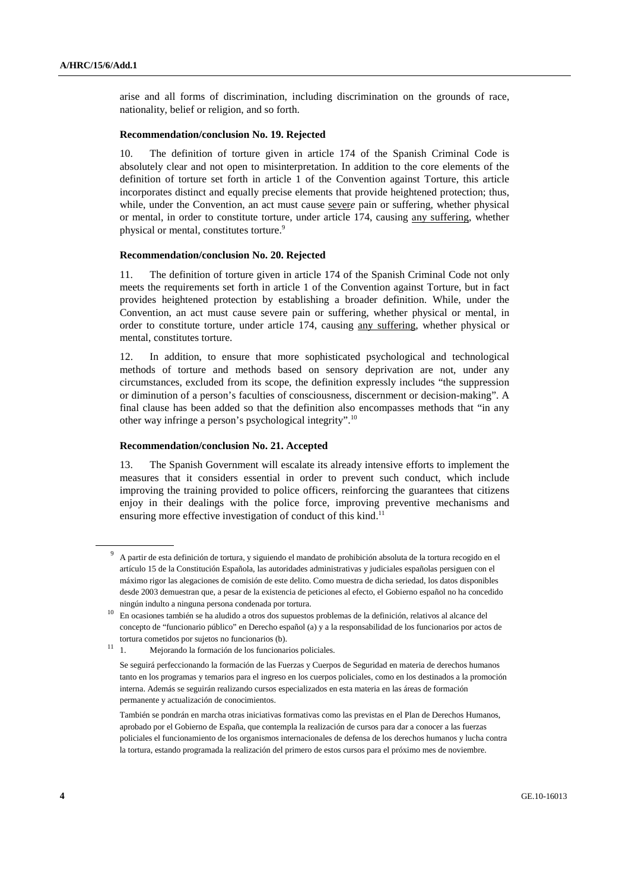arise and all forms of discrimination, including discrimination on the grounds of race, nationality, belief or religion, and so forth.

#### **Recommendation/conclusion No. 19. Rejected**

10. The definition of torture given in article 174 of the Spanish Criminal Code is absolutely clear and not open to misinterpretation. In addition to the core elements of the definition of torture set forth in article 1 of the Convention against Torture, this article incorporates distinct and equally precise elements that provide heightened protection; thus, while, under the Convention, an act must cause sever*e* pain or suffering, whether physical or mental, in order to constitute torture, under article 174, causing any suffering, whether physical or mental, constitutes torture.<sup>9</sup>

#### **Recommendation/conclusion No. 20. Rejected**

11. The definition of torture given in article 174 of the Spanish Criminal Code not only meets the requirements set forth in article 1 of the Convention against Torture, but in fact provides heightened protection by establishing a broader definition. While, under the Convention, an act must cause severe pain or suffering, whether physical or mental, in order to constitute torture, under article 174, causing any suffering, whether physical or mental, constitutes torture.

12. In addition, to ensure that more sophisticated psychological and technological methods of torture and methods based on sensory deprivation are not, under any circumstances, excluded from its scope, the definition expressly includes "the suppression or diminution of a person's faculties of consciousness, discernment or decision-making". A final clause has been added so that the definition also encompasses methods that "in any other way infringe a person's psychological integrity".10

#### **Recommendation/conclusion No. 21. Accepted**

13. The Spanish Government will escalate its already intensive efforts to implement the measures that it considers essential in order to prevent such conduct, which include improving the training provided to police officers, reinforcing the guarantees that citizens enjoy in their dealings with the police force, improving preventive mechanisms and ensuring more effective investigation of conduct of this kind.<sup>11</sup>

<sup>9</sup> A partir de esta definición de tortura, y siguiendo el mandato de prohibición absoluta de la tortura recogido en el artículo 15 de la Constitución Española, las autoridades administrativas y judiciales españolas persiguen con el máximo rigor las alegaciones de comisión de este delito. Como muestra de dicha seriedad, los datos disponibles desde 2003 demuestran que, a pesar de la existencia de peticiones al efecto, el Gobierno español no ha concedido ningún indulto a ninguna persona condenada por tortura.

<sup>10</sup> En ocasiones también se ha aludido a otros dos supuestos problemas de la definición, relativos al alcance del concepto de "funcionario público" en Derecho español (a) y a la responsabilidad de los funcionarios por actos de

tortura cometidos por sujetos no funcionarios (b).<br>
<sup>11</sup> 1 Mejorando la formación de los funcional Mejorando la formación de los funcionarios policiales.

Se seguirá perfeccionando la formación de las Fuerzas y Cuerpos de Seguridad en materia de derechos humanos tanto en los programas y temarios para el ingreso en los cuerpos policiales, como en los destinados a la promoción interna. Además se seguirán realizando cursos especializados en esta materia en las áreas de formación permanente y actualización de conocimientos.

También se pondrán en marcha otras iniciativas formativas como las previstas en el Plan de Derechos Humanos, aprobado por el Gobierno de España, que contempla la realización de cursos para dar a conocer a las fuerzas policiales el funcionamiento de los organismos internacionales de defensa de los derechos humanos y lucha contra la tortura, estando programada la realización del primero de estos cursos para el próximo mes de noviembre.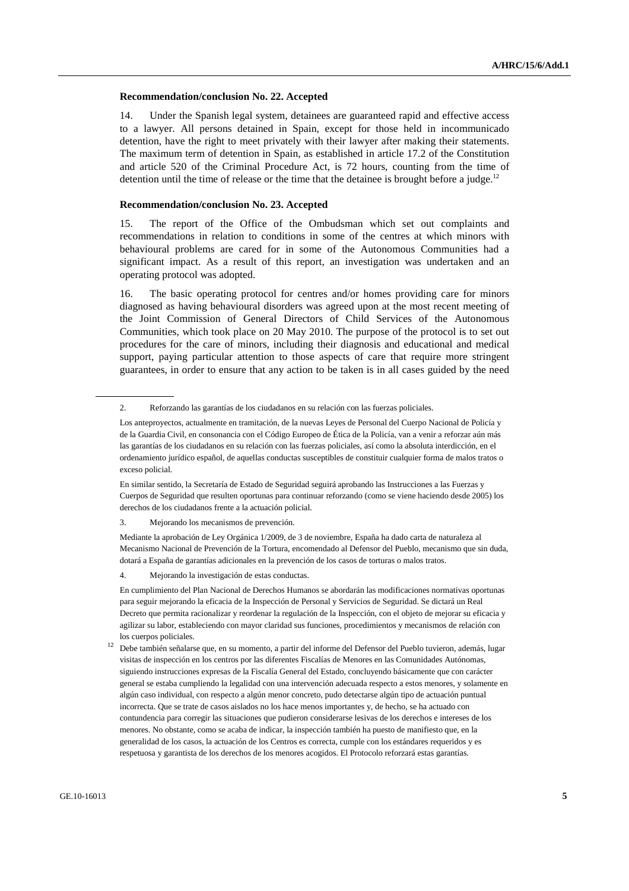#### **Recommendation/conclusion No. 22. Accepted**

14. Under the Spanish legal system, detainees are guaranteed rapid and effective access to a lawyer. All persons detained in Spain, except for those held in incommunicado detention, have the right to meet privately with their lawyer after making their statements. The maximum term of detention in Spain, as established in article 17.2 of the Constitution and article 520 of the Criminal Procedure Act, is 72 hours, counting from the time of detention until the time of release or the time that the detainee is brought before a judge.<sup>12</sup>

#### **Recommendation/conclusion No. 23. Accepted**

15. The report of the Office of the Ombudsman which set out complaints and recommendations in relation to conditions in some of the centres at which minors with behavioural problems are cared for in some of the Autonomous Communities had a significant impact. As a result of this report, an investigation was undertaken and an operating protocol was adopted.

16. The basic operating protocol for centres and/or homes providing care for minors diagnosed as having behavioural disorders was agreed upon at the most recent meeting of the Joint Commission of General Directors of Child Services of the Autonomous Communities, which took place on 20 May 2010. The purpose of the protocol is to set out procedures for the care of minors, including their diagnosis and educational and medical support, paying particular attention to those aspects of care that require more stringent guarantees, in order to ensure that any action to be taken is in all cases guided by the need

3. Mejorando los mecanismos de prevención.

 Mediante la aprobación de Ley Orgánica 1/2009, de 3 de noviembre, España ha dado carta de naturaleza al Mecanismo Nacional de Prevención de la Tortura, encomendado al Defensor del Pueblo, mecanismo que sin duda, dotará a España de garantías adicionales en la prevención de los casos de torturas o malos tratos.

4. Mejorando la investigación de estas conductas.

 En cumplimiento del Plan Nacional de Derechos Humanos se abordarán las modificaciones normativas oportunas para seguir mejorando la eficacia de la Inspección de Personal y Servicios de Seguridad. Se dictará un Real Decreto que permita racionalizar y reordenar la regulación de la Inspección, con el objeto de mejorar su eficacia y agilizar su labor, estableciendo con mayor claridad sus funciones, procedimientos y mecanismos de relación con los cuerpos policiales.

<sup>12</sup> Debe también señalarse que, en su momento, a partir del informe del Defensor del Pueblo tuvieron, además, lugar visitas de inspección en los centros por las diferentes Fiscalías de Menores en las Comunidades Autónomas, siguiendo instrucciones expresas de la Fiscalía General del Estado, concluyendo básicamente que con carácter general se estaba cumpliendo la legalidad con una intervención adecuada respecto a estos menores, y solamente en algún caso individual, con respecto a algún menor concreto, pudo detectarse algún tipo de actuación puntual incorrecta. Que se trate de casos aislados no los hace menos importantes y, de hecho, se ha actuado con contundencia para corregir las situaciones que pudieron considerarse lesivas de los derechos e intereses de los menores. No obstante, como se acaba de indicar, la inspección también ha puesto de manifiesto que, en la generalidad de los casos, la actuación de los Centros es correcta, cumple con los estándares requeridos y es respetuosa y garantista de los derechos de los menores acogidos. El Protocolo reforzará estas garantías.

 <sup>2.</sup> Reforzando las garantías de los ciudadanos en su relación con las fuerzas policiales.

Los anteproyectos, actualmente en tramitación, de la nuevas Leyes de Personal del Cuerpo Nacional de Policía y de la Guardia Civil, en consonancia con el Código Europeo de Ética de la Policía, van a venir a reforzar aún más las garantías de los ciudadanos en su relación con las fuerzas policiales, así como la absoluta interdicción, en el ordenamiento jurídico español, de aquellas conductas susceptibles de constituir cualquier forma de malos tratos o exceso policial.

En similar sentido, la Secretaría de Estado de Seguridad seguirá aprobando las Instrucciones a las Fuerzas y Cuerpos de Seguridad que resulten oportunas para continuar reforzando (como se viene haciendo desde 2005) los derechos de los ciudadanos frente a la actuación policial.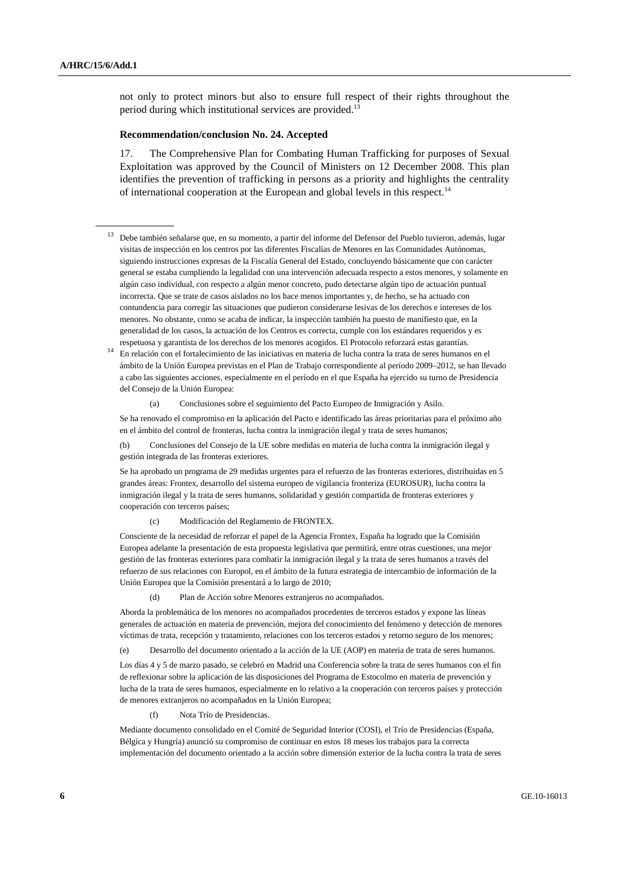not only to protect minors but also to ensure full respect of their rights throughout the period during which institutional services are provided.<sup>13</sup>

#### **Recommendation/conclusion No. 24. Accepted**

17. The Comprehensive Plan for Combating Human Trafficking for purposes of Sexual Exploitation was approved by the Council of Ministers on 12 December 2008. This plan identifies the prevention of trafficking in persons as a priority and highlights the centrality of international cooperation at the European and global levels in this respect.<sup>14</sup>

- <sup>13</sup> Debe también señalarse que, en su momento, a partir del informe del Defensor del Pueblo tuvieron, además, lugar visitas de inspección en los centros por las diferentes Fiscalías de Menores en las Comunidades Autónomas, siguiendo instrucciones expresas de la Fiscalía General del Estado, concluyendo básicamente que con carácter general se estaba cumpliendo la legalidad con una intervención adecuada respecto a estos menores, y solamente en algún caso individual, con respecto a algún menor concreto, pudo detectarse algún tipo de actuación puntual incorrecta. Que se trate de casos aislados no los hace menos importantes y, de hecho, se ha actuado con contundencia para corregir las situaciones que pudieron considerarse lesivas de los derechos e intereses de los menores. No obstante, como se acaba de indicar, la inspección también ha puesto de manifiesto que, en la generalidad de los casos, la actuación de los Centros es correcta, cumple con los estándares requeridos y es respetuosa y garantista de los derechos de los menores acogidos. El Protocolo reforzará estas garantías.
- <sup>14</sup> En relación con el fortalecimiento de las iniciativas en materia de lucha contra la trata de seres humanos en el ámbito de la Unión Europea previstas en el Plan de Trabajo correspondiente al período 2009–2012, se han llevado a cabo las siguientes acciones, especialmente en el período en el que España ha ejercido su turno de Presidencia del Consejo de la Unión Europea:

(a) Conclusiones sobre el seguimiento del Pacto Europeo de Inmigración y Asilo.

 Se ha renovado el compromiso en la aplicación del Pacto e identificado las áreas prioritarias para el próximo año en el ámbito del control de fronteras, lucha contra la inmigración ilegal y trata de seres humanos;

 (b) Conclusiones del Consejo de la UE sobre medidas en materia de lucha contra la inmigración ilegal y gestión integrada de las fronteras exteriores.

 Se ha aprobado un programa de 29 medidas urgentes para el refuerzo de las fronteras exteriores, distribuidas en 5 grandes áreas: Frontex, desarrollo del sistema europeo de vigilancia fronteriza (EUROSUR), lucha contra la inmigración ilegal y la trata de seres humanos, solidaridad y gestión compartida de fronteras exteriores y cooperación con terceros países;

(c) Modificación del Reglamento de FRONTEX.

 Consciente de la necesidad de reforzar el papel de la Agencia Frontex, España ha logrado que la Comisión Europea adelante la presentación de esta propuesta legislativa que permitirá, entre otras cuestiones, una mejor gestión de las fronteras exteriores para combatir la inmigración ilegal y la trata de seres humanos a través del refuerzo de sus relaciones con Europol, en el ámbito de la futura estrategia de intercambio de información de la Unión Europea que la Comisión presentará a lo largo de 2010;

(d) Plan de Acción sobre Menores extranjeros no acompañados.

 Aborda la problemática de los menores no acompañados procedentes de terceros estados y expone las líneas generales de actuación en materia de prevención, mejora del conocimiento del fenómeno y detección de menores víctimas de trata, recepción y tratamiento, relaciones con los terceros estados y retorno seguro de los menores;

(e) Desarrollo del documento orientado a la acción de la UE (AOP) en materia de trata de seres humanos.

 Los días 4 y 5 de marzo pasado, se celebró en Madrid una Conferencia sobre la trata de seres humanos con el fin de reflexionar sobre la aplicación de las disposiciones del Programa de Estocolmo en materia de prevención y lucha de la trata de seres humanos, especialmente en lo relativo a la cooperación con terceros países y protección de menores extranjeros no acompañados en la Unión Europea;

(f) Nota Trío de Presidencias.

 Mediante documento consolidado en el Comité de Seguridad Interior (COSI), el Trío de Presidencias (España, Bélgica y Hungría) anunció su compromiso de continuar en estos 18 meses los trabajos para la correcta implementación del documento orientado a la acción sobre dimensión exterior de la lucha contra la trata de seres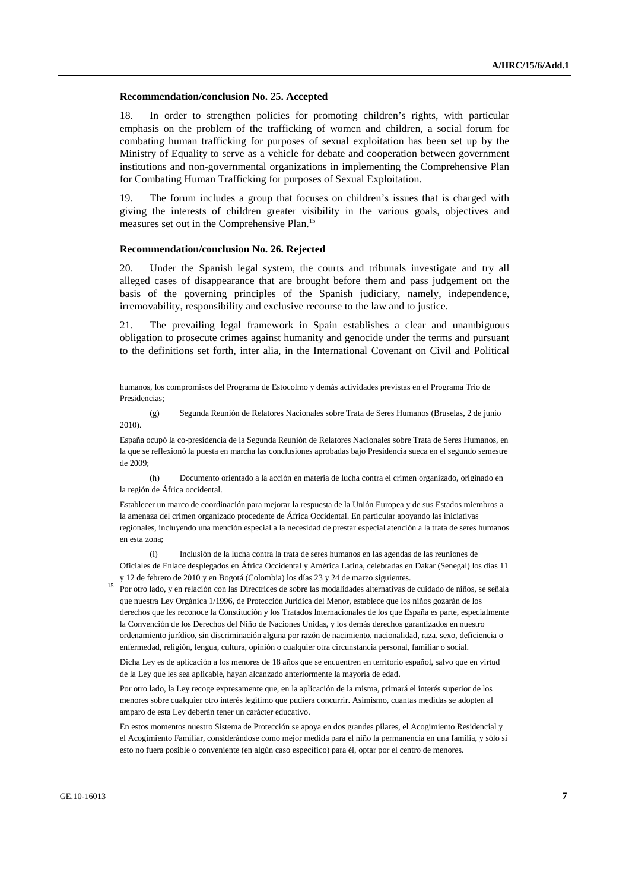#### **Recommendation/conclusion No. 25. Accepted**

18. In order to strengthen policies for promoting children's rights, with particular emphasis on the problem of the trafficking of women and children, a social forum for combating human trafficking for purposes of sexual exploitation has been set up by the Ministry of Equality to serve as a vehicle for debate and cooperation between government institutions and non-governmental organizations in implementing the Comprehensive Plan for Combating Human Trafficking for purposes of Sexual Exploitation.

19. The forum includes a group that focuses on children's issues that is charged with giving the interests of children greater visibility in the various goals, objectives and measures set out in the Comprehensive Plan.15

#### **Recommendation/conclusion No. 26. Rejected**

20. Under the Spanish legal system, the courts and tribunals investigate and try all alleged cases of disappearance that are brought before them and pass judgement on the basis of the governing principles of the Spanish judiciary, namely, independence, irremovability, responsibility and exclusive recourse to the law and to justice.

21. The prevailing legal framework in Spain establishes a clear and unambiguous obligation to prosecute crimes against humanity and genocide under the terms and pursuant to the definitions set forth, inter alia, in the International Covenant on Civil and Political

 (h) Documento orientado a la acción en materia de lucha contra el crimen organizado, originado en la región de África occidental.

 Establecer un marco de coordinación para mejorar la respuesta de la Unión Europea y de sus Estados miembros a la amenaza del crimen organizado procedente de África Occidental. En particular apoyando las iniciativas regionales, incluyendo una mención especial a la necesidad de prestar especial atención a la trata de seres humanos en esta zona;

 (i) Inclusión de la lucha contra la trata de seres humanos en las agendas de las reuniones de Oficiales de Enlace desplegados en África Occidental y América Latina, celebradas en Dakar (Senegal) los días 11 y 12 de febrero de 2010 y en Bogotá (Colombia) los días 23 y 24 de marzo siguientes.

<sup>15</sup> Por otro lado, y en relación con las Directrices de sobre las modalidades alternativas de cuidado de niños, se señala que nuestra Ley Orgánica 1/1996, de Protección Jurídica del Menor, establece que los niños gozarán de los derechos que les reconoce la Constitución y los Tratados Internacionales de los que España es parte, especialmente la Convención de los Derechos del Niño de Naciones Unidas, y los demás derechos garantizados en nuestro ordenamiento jurídico, sin discriminación alguna por razón de nacimiento, nacionalidad, raza, sexo, deficiencia o enfermedad, religión, lengua, cultura, opinión o cualquier otra circunstancia personal, familiar o social.

 Dicha Ley es de aplicación a los menores de 18 años que se encuentren en territorio español, salvo que en virtud de la Ley que les sea aplicable, hayan alcanzado anteriormente la mayoría de edad.

 Por otro lado, la Ley recoge expresamente que, en la aplicación de la misma, primará el interés superior de los menores sobre cualquier otro interés legítimo que pudiera concurrir. Asimismo, cuantas medidas se adopten al amparo de esta Ley deberán tener un carácter educativo.

 En estos momentos nuestro Sistema de Protección se apoya en dos grandes pilares, el Acogimiento Residencial y el Acogimiento Familiar, considerándose como mejor medida para el niño la permanencia en una familia, y sólo si esto no fuera posible o conveniente (en algún caso específico) para él, optar por el centro de menores.

humanos, los compromisos del Programa de Estocolmo y demás actividades previstas en el Programa Trío de Presidencias;

 <sup>(</sup>g) Segunda Reunión de Relatores Nacionales sobre Trata de Seres Humanos (Bruselas, 2 de junio 2010).

España ocupó la co-presidencia de la Segunda Reunión de Relatores Nacionales sobre Trata de Seres Humanos, en la que se reflexionó la puesta en marcha las conclusiones aprobadas bajo Presidencia sueca en el segundo semestre de 2009;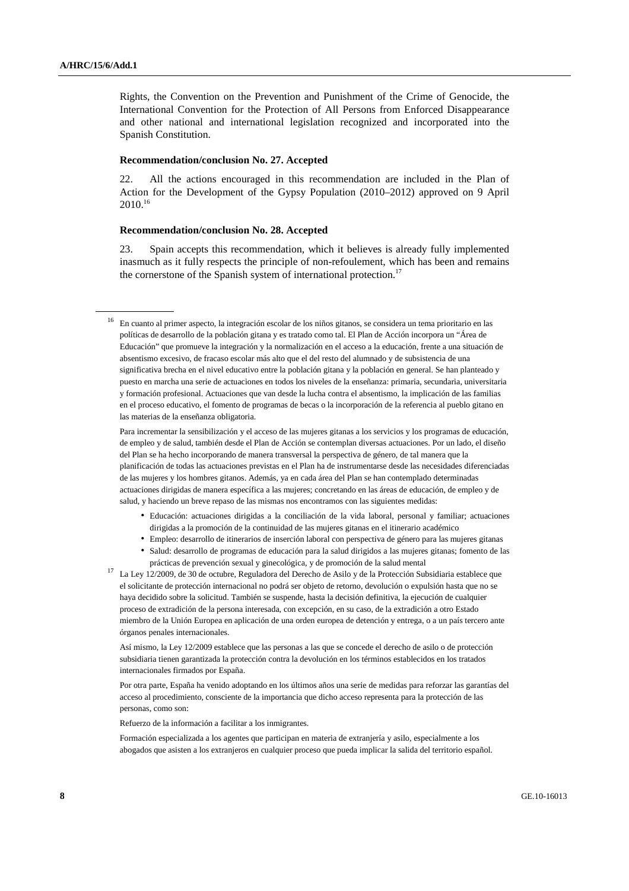Rights, the Convention on the Prevention and Punishment of the Crime of Genocide, the International Convention for the Protection of All Persons from Enforced Disappearance and other national and international legislation recognized and incorporated into the Spanish Constitution.

#### **Recommendation/conclusion No. 27. Accepted**

22. All the actions encouraged in this recommendation are included in the Plan of Action for the Development of the Gypsy Population (2010–2012) approved on 9 April 2010.16

#### **Recommendation/conclusion No. 28. Accepted**

23. Spain accepts this recommendation, which it believes is already fully implemented inasmuch as it fully respects the principle of non-refoulement, which has been and remains the cornerstone of the Spanish system of international protection.<sup>17</sup>

 Para incrementar la sensibilización y el acceso de las mujeres gitanas a los servicios y los programas de educación, de empleo y de salud, también desde el Plan de Acción se contemplan diversas actuaciones. Por un lado, el diseño del Plan se ha hecho incorporando de manera transversal la perspectiva de género, de tal manera que la planificación de todas las actuaciones previstas en el Plan ha de instrumentarse desde las necesidades diferenciadas de las mujeres y los hombres gitanos. Además, ya en cada área del Plan se han contemplado determinadas actuaciones dirigidas de manera específica a las mujeres; concretando en las áreas de educación, de empleo y de salud, y haciendo un breve repaso de las mismas nos encontramos con las siguientes medidas:

- Educación: actuaciones dirigidas a la conciliación de la vida laboral, personal y familiar; actuaciones dirigidas a la promoción de la continuidad de las mujeres gitanas en el itinerario académico
- Empleo: desarrollo de itinerarios de inserción laboral con perspectiva de género para las mujeres gitanas
- Salud: desarrollo de programas de educación para la salud dirigidos a las mujeres gitanas; fomento de las
- prácticas de prevención sexual y ginecológica, y de promoción de la salud mental 17 La Ley 12/2009, de 30 de octubre, Reguladora del Derecho de Asilo y de la Protección Subsidiaria establece que el solicitante de protección internacional no podrá ser objeto de retorno, devolución o expulsión hasta que no se haya decidido sobre la solicitud. También se suspende, hasta la decisión definitiva, la ejecución de cualquier proceso de extradición de la persona interesada, con excepción, en su caso, de la extradición a otro Estado miembro de la Unión Europea en aplicación de una orden europea de detención y entrega, o a un país tercero ante órganos penales internacionales.

 Así mismo, la Ley 12/2009 establece que las personas a las que se concede el derecho de asilo o de protección subsidiaria tienen garantizada la protección contra la devolución en los términos establecidos en los tratados internacionales firmados por España.

 Por otra parte, España ha venido adoptando en los últimos años una serie de medidas para reforzar las garantías del acceso al procedimiento, consciente de la importancia que dicho acceso representa para la protección de las personas, como son:

Refuerzo de la información a facilitar a los inmigrantes.

 Formación especializada a los agentes que participan en materia de extranjería y asilo, especialmente a los abogados que asisten a los extranjeros en cualquier proceso que pueda implicar la salida del territorio español.

<sup>16</sup> En cuanto al primer aspecto, la integración escolar de los niños gitanos, se considera un tema prioritario en las políticas de desarrollo de la población gitana y es tratado como tal. El Plan de Acción incorpora un "Área de Educación" que promueve la integración y la normalización en el acceso a la educación, frente a una situación de absentismo excesivo, de fracaso escolar más alto que el del resto del alumnado y de subsistencia de una significativa brecha en el nivel educativo entre la población gitana y la población en general. Se han planteado y puesto en marcha una serie de actuaciones en todos los niveles de la enseñanza: primaria, secundaria, universitaria y formación profesional. Actuaciones que van desde la lucha contra el absentismo, la implicación de las familias en el proceso educativo, el fomento de programas de becas o la incorporación de la referencia al pueblo gitano en las materias de la enseñanza obligatoria.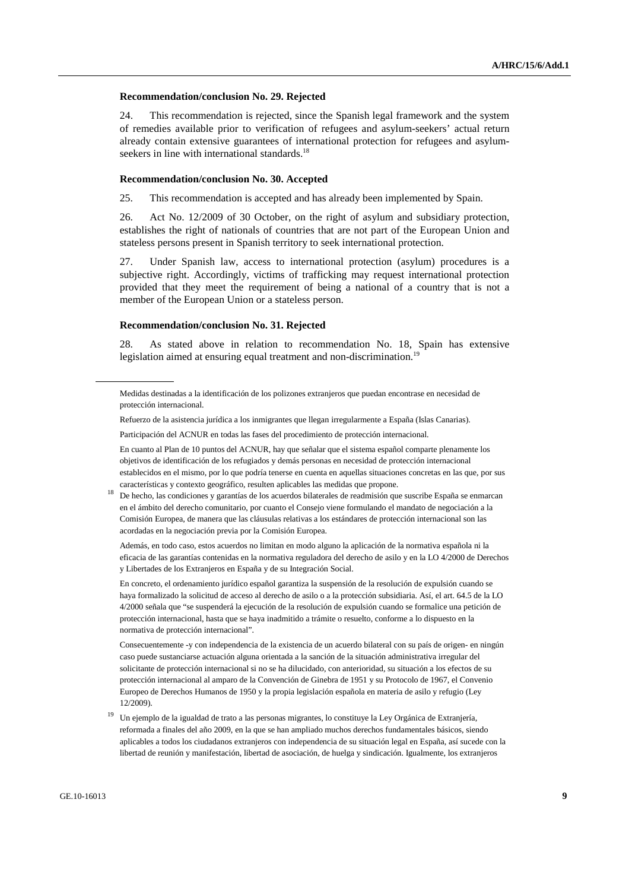#### **Recommendation/conclusion No. 29. Rejected**

24. This recommendation is rejected, since the Spanish legal framework and the system of remedies available prior to verification of refugees and asylum-seekers' actual return already contain extensive guarantees of international protection for refugees and asylumseekers in line with international standards.<sup>18</sup>

#### **Recommendation/conclusion No. 30. Accepted**

25. This recommendation is accepted and has already been implemented by Spain.

26. Act No. 12/2009 of 30 October, on the right of asylum and subsidiary protection, establishes the right of nationals of countries that are not part of the European Union and stateless persons present in Spanish territory to seek international protection.

27. Under Spanish law, access to international protection (asylum) procedures is a subjective right. Accordingly, victims of trafficking may request international protection provided that they meet the requirement of being a national of a country that is not a member of the European Union or a stateless person.

#### **Recommendation/conclusion No. 31. Rejected**

28. As stated above in relation to recommendation No. 18, Spain has extensive legislation aimed at ensuring equal treatment and non-discrimination.<sup>19</sup>

 En cuanto al Plan de 10 puntos del ACNUR, hay que señalar que el sistema español comparte plenamente los objetivos de identificación de los refugiados y demás personas en necesidad de protección internacional establecidos en el mismo, por lo que podría tenerse en cuenta en aquellas situaciones concretas en las que, por sus características y contexto geográfico, resulten aplicables las medidas que propone.

<sup>18</sup> De hecho, las condiciones y garantías de los acuerdos bilaterales de readmisión que suscribe España se enmarcan en el ámbito del derecho comunitario, por cuanto el Consejo viene formulando el mandato de negociación a la Comisión Europea, de manera que las cláusulas relativas a los estándares de protección internacional son las acordadas en la negociación previa por la Comisión Europea.

 Además, en todo caso, estos acuerdos no limitan en modo alguno la aplicación de la normativa española ni la eficacia de las garantías contenidas en la normativa reguladora del derecho de asilo y en la LO 4/2000 de Derechos y Libertades de los Extranjeros en España y de su Integración Social.

 En concreto, el ordenamiento jurídico español garantiza la suspensión de la resolución de expulsión cuando se haya formalizado la solicitud de acceso al derecho de asilo o a la protección subsidiaria. Así, el art. 64.5 de la LO 4/2000 señala que "se suspenderá la ejecución de la resolución de expulsión cuando se formalice una petición de protección internacional, hasta que se haya inadmitido a trámite o resuelto, conforme a lo dispuesto en la normativa de protección internacional".

 Consecuentemente -y con independencia de la existencia de un acuerdo bilateral con su país de origen- en ningún caso puede sustanciarse actuación alguna orientada a la sanción de la situación administrativa irregular del solicitante de protección internacional si no se ha dilucidado, con anterioridad, su situación a los efectos de su protección internacional al amparo de la Convención de Ginebra de 1951 y su Protocolo de 1967, el Convenio Europeo de Derechos Humanos de 1950 y la propia legislación española en materia de asilo y refugio (Ley 12/2009).

<sup>19</sup> Un ejemplo de la igualdad de trato a las personas migrantes, lo constituye la Ley Orgánica de Extranjería, reformada a finales del año 2009, en la que se han ampliado muchos derechos fundamentales básicos, siendo aplicables a todos los ciudadanos extranjeros con independencia de su situación legal en España, así sucede con la libertad de reunión y manifestación, libertad de asociación, de huelga y sindicación. Igualmente, los extranjeros

Medidas destinadas a la identificación de los polizones extranjeros que puedan encontrase en necesidad de protección internacional.

Refuerzo de la asistencia jurídica a los inmigrantes que llegan irregularmente a España (Islas Canarias).

Participación del ACNUR en todas las fases del procedimiento de protección internacional.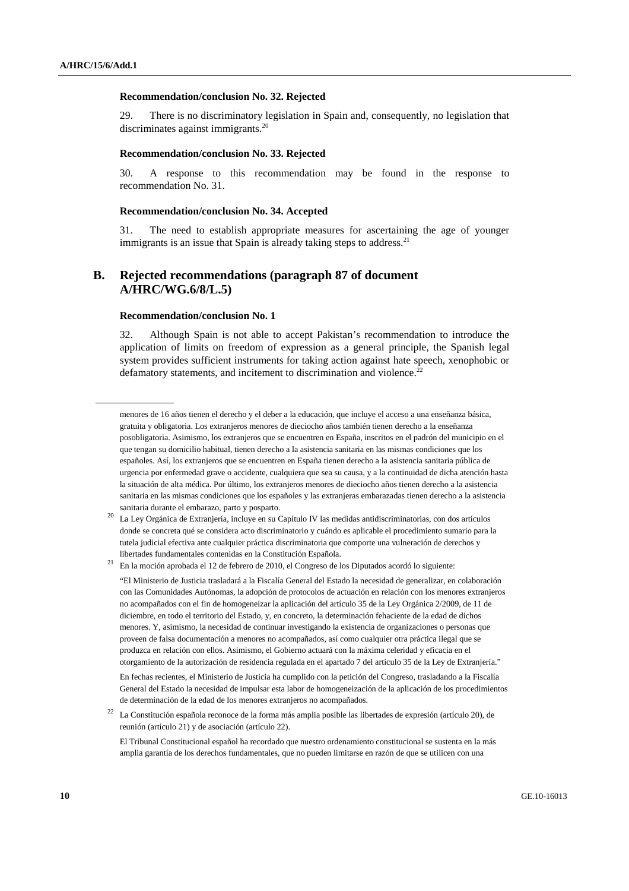#### **Recommendation/conclusion No. 32. Rejected**

29. There is no discriminatory legislation in Spain and, consequently, no legislation that discriminates against immigrants.<sup>20</sup>

#### **Recommendation/conclusion No. 33. Rejected**

30. A response to this recommendation may be found in the response to recommendation No. 31.

#### **Recommendation/conclusion No. 34. Accepted**

31. The need to establish appropriate measures for ascertaining the age of younger immigrants is an issue that Spain is already taking steps to address.<sup>21</sup>

## **B. Rejected recommendations (paragraph 87 of document A/HRC/WG.6/8/L.5)**

#### **Recommendation/conclusion No. 1**

32. Although Spain is not able to accept Pakistan's recommendation to introduce the application of limits on freedom of expression as a general principle, the Spanish legal system provides sufficient instruments for taking action against hate speech, xenophobic or defamatory statements, and incitement to discrimination and violence.<sup>22</sup>

menores de 16 años tienen el derecho y el deber a la educación, que incluye el acceso a una enseñanza básica, gratuita y obligatoria. Los extranjeros menores de dieciocho años también tienen derecho a la enseñanza posobligatoria. Asimismo, los extranjeros que se encuentren en España, inscritos en el padrón del municipio en el que tengan su domicilio habitual, tienen derecho a la asistencia sanitaria en las mismas condiciones que los españoles. Así, los extranjeros que se encuentren en España tienen derecho a la asistencia sanitaria pública de urgencia por enfermedad grave o accidente, cualquiera que sea su causa, y a la continuidad de dicha atención hasta la situación de alta médica. Por último, los extranjeros menores de dieciocho años tienen derecho a la asistencia sanitaria en las mismas condiciones que los españoles y las extranjeras embarazadas tienen derecho a la asistencia sanitaria durante el embarazo, parto y posparto.

 $20$  La Ley Orgánica de Extranjería, incluye en su Capítulo IV las medidas antidiscriminatorias, con dos artículos donde se concreta qué se considera acto discriminatorio y cuándo es aplicable el procedimiento sumario para la tutela judicial efectiva ante cualquier práctica discriminatoria que comporte una vulneración de derechos y libertades fundamentales contenidas en la Constitución Española.

<sup>21</sup> En la moción aprobada el 12 de febrero de 2010, el Congreso de los Diputados acordó lo siguiente:

 <sup>&</sup>quot;El Ministerio de Justicia trasladará a la Fiscalía General del Estado la necesidad de generalizar, en colaboración con las Comunidades Autónomas, la adopción de protocolos de actuación en relación con los menores extranjeros no acompañados con el fin de homogeneizar la aplicación del artículo 35 de la Ley Orgánica 2/2009, de 11 de diciembre, en todo el territorio del Estado, y, en concreto, la determinación fehaciente de la edad de dichos menores. Y, asimismo, la necesidad de continuar investigando la existencia de organizaciones o personas que proveen de falsa documentación a menores no acompañados, así como cualquier otra práctica ilegal que se produzca en relación con ellos. Asimismo, el Gobierno actuará con la máxima celeridad y eficacia en el otorgamiento de la autorización de residencia regulada en el apartado 7 del artículo 35 de la Ley de Extranjería."

En fechas recientes, el Ministerio de Justicia ha cumplido con la petición del Congreso, trasladando a la Fiscalía General del Estado la necesidad de impulsar esta labor de homogeneización de la aplicación de los procedimientos de determinación de la edad de los menores extranjeros no acompañados.

<sup>22</sup> La Constitución española reconoce de la forma más amplia posible las libertades de expresión (artículo 20), de reunión (artículo 21) y de asociación (artículo 22).

El Tribunal Constitucional español ha recordado que nuestro ordenamiento constitucional se sustenta en la más amplia garantía de los derechos fundamentales, que no pueden limitarse en razón de que se utilicen con una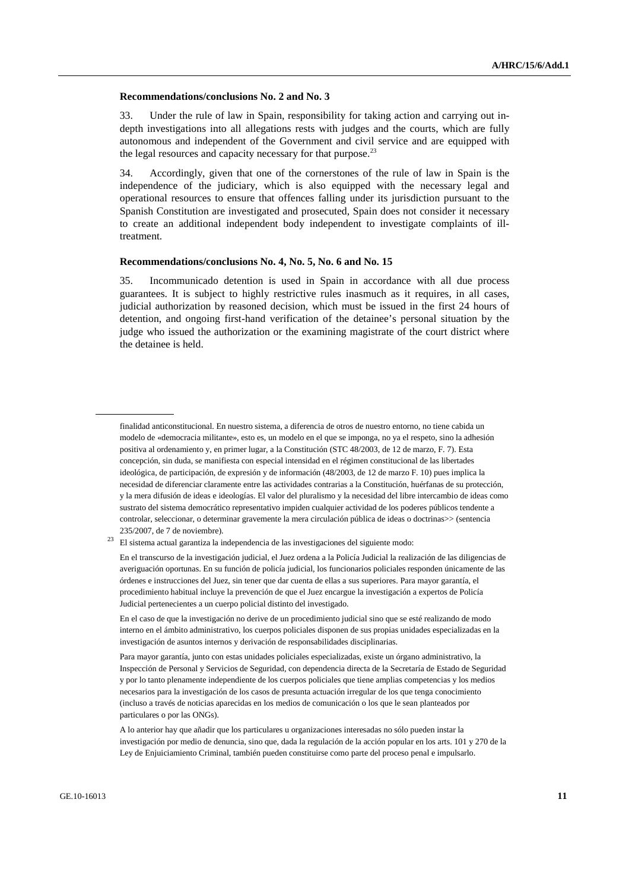#### **Recommendations/conclusions No. 2 and No. 3**

33. Under the rule of law in Spain, responsibility for taking action and carrying out indepth investigations into all allegations rests with judges and the courts, which are fully autonomous and independent of the Government and civil service and are equipped with the legal resources and capacity necessary for that purpose. $^{23}$ 

34. Accordingly, given that one of the cornerstones of the rule of law in Spain is the independence of the judiciary, which is also equipped with the necessary legal and operational resources to ensure that offences falling under its jurisdiction pursuant to the Spanish Constitution are investigated and prosecuted, Spain does not consider it necessary to create an additional independent body independent to investigate complaints of illtreatment.

#### **Recommendations/conclusions No. 4, No. 5, No. 6 and No. 15**

35. Incommunicado detention is used in Spain in accordance with all due process guarantees. It is subject to highly restrictive rules inasmuch as it requires, in all cases, judicial authorization by reasoned decision, which must be issued in the first 24 hours of detention, and ongoing first-hand verification of the detainee's personal situation by the judge who issued the authorization or the examining magistrate of the court district where the detainee is held.

finalidad anticonstitucional. En nuestro sistema, a diferencia de otros de nuestro entorno, no tiene cabida un modelo de «democracia militante», esto es, un modelo en el que se imponga, no ya el respeto, sino la adhesión positiva al ordenamiento y, en primer lugar, a la Constitución (STC 48/2003, de 12 de marzo, F. 7). Esta concepción, sin duda, se manifiesta con especial intensidad en el régimen constitucional de las libertades ideológica, de participación, de expresión y de información (48/2003, de 12 de marzo F. 10) pues implica la necesidad de diferenciar claramente entre las actividades contrarias a la Constitución, huérfanas de su protección, y la mera difusión de ideas e ideologías. El valor del pluralismo y la necesidad del libre intercambio de ideas como sustrato del sistema democrático representativo impiden cualquier actividad de los poderes públicos tendente a controlar, seleccionar, o determinar gravemente la mera circulación pública de ideas o doctrinas>> (sentencia 235/2007, de 7 de noviembre).

 $23$  El sistema actual garantiza la independencia de las investigaciones del siguiente modo:

En el transcurso de la investigación judicial, el Juez ordena a la Policía Judicial la realización de las diligencias de averiguación oportunas. En su función de policía judicial, los funcionarios policiales responden únicamente de las órdenes e instrucciones del Juez, sin tener que dar cuenta de ellas a sus superiores. Para mayor garantía, el procedimiento habitual incluye la prevención de que el Juez encargue la investigación a expertos de Policía Judicial pertenecientes a un cuerpo policial distinto del investigado.

En el caso de que la investigación no derive de un procedimiento judicial sino que se esté realizando de modo interno en el ámbito administrativo, los cuerpos policiales disponen de sus propias unidades especializadas en la investigación de asuntos internos y derivación de responsabilidades disciplinarias.

Para mayor garantía, junto con estas unidades policiales especializadas, existe un órgano administrativo, la Inspección de Personal y Servicios de Seguridad, con dependencia directa de la Secretaría de Estado de Seguridad y por lo tanto plenamente independiente de los cuerpos policiales que tiene amplias competencias y los medios necesarios para la investigación de los casos de presunta actuación irregular de los que tenga conocimiento (incluso a través de noticias aparecidas en los medios de comunicación o los que le sean planteados por particulares o por las ONGs).

A lo anterior hay que añadir que los particulares u organizaciones interesadas no sólo pueden instar la investigación por medio de denuncia, sino que, dada la regulación de la acción popular en los arts. 101 y 270 de la Ley de Enjuiciamiento Criminal, también pueden constituirse como parte del proceso penal e impulsarlo.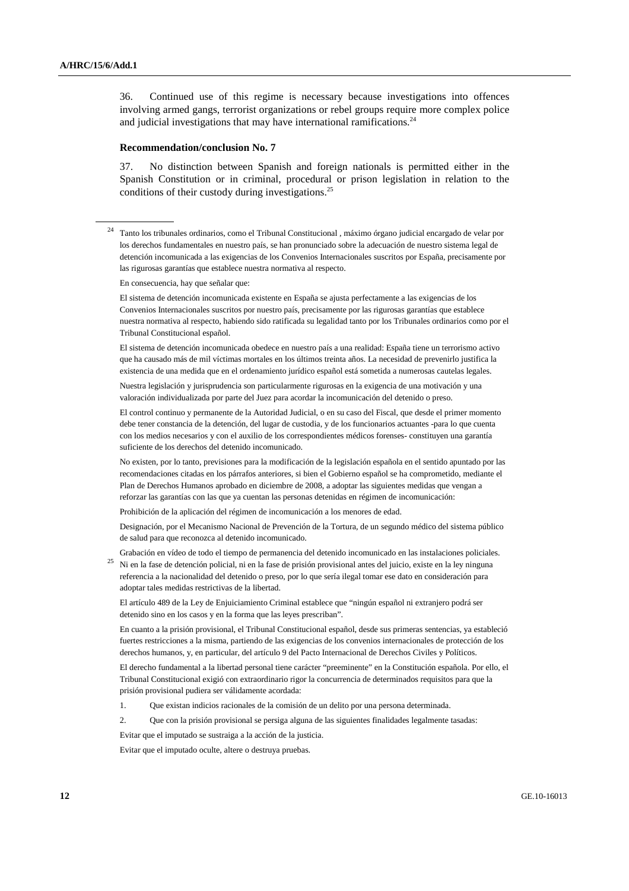36. Continued use of this regime is necessary because investigations into offences involving armed gangs, terrorist organizations or rebel groups require more complex police and judicial investigations that may have international ramifications.<sup>24</sup>

#### **Recommendation/conclusion No. 7**

37. No distinction between Spanish and foreign nationals is permitted either in the Spanish Constitution or in criminal, procedural or prison legislation in relation to the conditions of their custody during investigations.<sup>25</sup>

<sup>24</sup> Tanto los tribunales ordinarios, como el Tribunal Constitucional , máximo órgano judicial encargado de velar por los derechos fundamentales en nuestro país, se han pronunciado sobre la adecuación de nuestro sistema legal de detención incomunicada a las exigencias de los Convenios Internacionales suscritos por España, precisamente por las rigurosas garantías que establece nuestra normativa al respecto.

En consecuencia, hay que señalar que:

 El sistema de detención incomunicada existente en España se ajusta perfectamente a las exigencias de los Convenios Internacionales suscritos por nuestro país, precisamente por las rigurosas garantías que establece nuestra normativa al respecto, habiendo sido ratificada su legalidad tanto por los Tribunales ordinarios como por el Tribunal Constitucional español.

 El sistema de detención incomunicada obedece en nuestro país a una realidad: España tiene un terrorismo activo que ha causado más de mil víctimas mortales en los últimos treinta años. La necesidad de prevenirlo justifica la existencia de una medida que en el ordenamiento jurídico español está sometida a numerosas cautelas legales.

 Nuestra legislación y jurisprudencia son particularmente rigurosas en la exigencia de una motivación y una valoración individualizada por parte del Juez para acordar la incomunicación del detenido o preso.

 El control continuo y permanente de la Autoridad Judicial, o en su caso del Fiscal, que desde el primer momento debe tener constancia de la detención, del lugar de custodia, y de los funcionarios actuantes -para lo que cuenta con los medios necesarios y con el auxilio de los correspondientes médicos forenses- constituyen una garantía suficiente de los derechos del detenido incomunicado.

 No existen, por lo tanto, previsiones para la modificación de la legislación española en el sentido apuntado por las recomendaciones citadas en los párrafos anteriores, si bien el Gobierno español se ha comprometido, mediante el Plan de Derechos Humanos aprobado en diciembre de 2008, a adoptar las siguientes medidas que vengan a reforzar las garantías con las que ya cuentan las personas detenidas en régimen de incomunicación:

Prohibición de la aplicación del régimen de incomunicación a los menores de edad.

 Designación, por el Mecanismo Nacional de Prevención de la Tortura, de un segundo médico del sistema público de salud para que reconozca al detenido incomunicado.

 Grabación en vídeo de todo el tiempo de permanencia del detenido incomunicado en las instalaciones policiales. <sup>25</sup> Ni en la fase de detención policial, ni en la fase de prisión provisional antes del juicio, existe en la ley ninguna referencia a la nacionalidad del detenido o preso, por lo que sería ilegal tomar ese dato en consideración para adoptar tales medidas restrictivas de la libertad.

 El artículo 489 de la Ley de Enjuiciamiento Criminal establece que "ningún español ni extranjero podrá ser detenido sino en los casos y en la forma que las leyes prescriban".

 En cuanto a la prisión provisional, el Tribunal Constitucional español, desde sus primeras sentencias, ya estableció fuertes restricciones a la misma, partiendo de las exigencias de los convenios internacionales de protección de los derechos humanos, y, en particular, del artículo 9 del Pacto Internacional de Derechos Civiles y Políticos.

 El derecho fundamental a la libertad personal tiene carácter "preeminente" en la Constitución española. Por ello, el Tribunal Constitucional exigió con extraordinario rigor la concurrencia de determinados requisitos para que la prisión provisional pudiera ser válidamente acordada:

- 1. Que existan indicios racionales de la comisión de un delito por una persona determinada.
- 2. Que con la prisión provisional se persiga alguna de las siguientes finalidades legalmente tasadas:

Evitar que el imputado se sustraiga a la acción de la justicia.

Evitar que el imputado oculte, altere o destruya pruebas.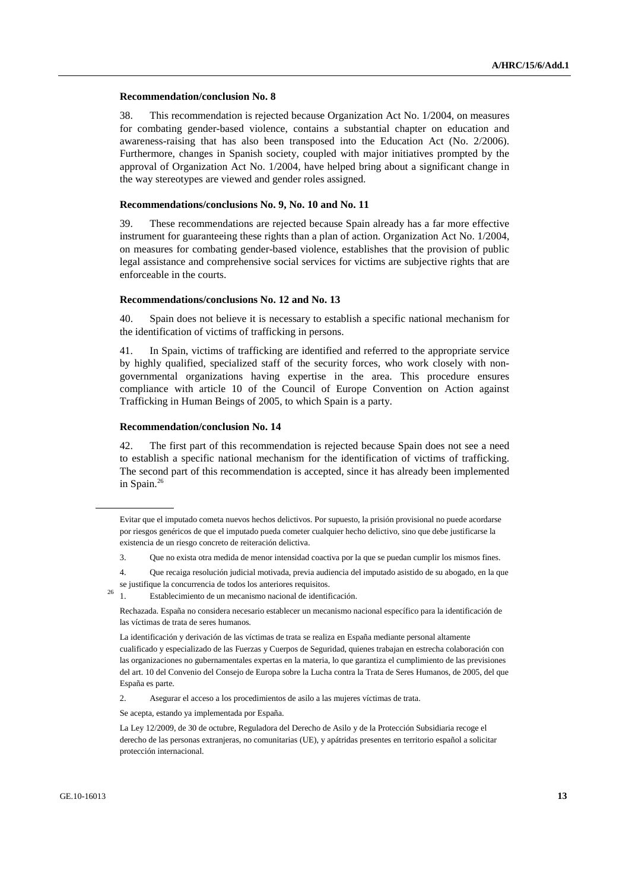#### **Recommendation/conclusion No. 8**

38. This recommendation is rejected because Organization Act No. 1/2004, on measures for combating gender-based violence, contains a substantial chapter on education and awareness-raising that has also been transposed into the Education Act (No. 2/2006). Furthermore, changes in Spanish society, coupled with major initiatives prompted by the approval of Organization Act No. 1/2004, have helped bring about a significant change in the way stereotypes are viewed and gender roles assigned.

#### **Recommendations/conclusions No. 9, No. 10 and No. 11**

39. These recommendations are rejected because Spain already has a far more effective instrument for guaranteeing these rights than a plan of action. Organization Act No. 1/2004, on measures for combating gender-based violence, establishes that the provision of public legal assistance and comprehensive social services for victims are subjective rights that are enforceable in the courts.

#### **Recommendations/conclusions No. 12 and No. 13**

40. Spain does not believe it is necessary to establish a specific national mechanism for the identification of victims of trafficking in persons.

41. In Spain, victims of trafficking are identified and referred to the appropriate service by highly qualified, specialized staff of the security forces, who work closely with nongovernmental organizations having expertise in the area. This procedure ensures compliance with article 10 of the Council of Europe Convention on Action against Trafficking in Human Beings of 2005, to which Spain is a party.

#### **Recommendation/conclusion No. 14**

42. The first part of this recommendation is rejected because Spain does not see a need to establish a specific national mechanism for the identification of victims of trafficking. The second part of this recommendation is accepted, since it has already been implemented in Spain.<sup>26</sup>

 4. Que recaiga resolución judicial motivada, previa audiencia del imputado asistido de su abogado, en la que se justifique la concurrencia de todos los anteriores requisitos.

 Rechazada. España no considera necesario establecer un mecanismo nacional específico para la identificación de las víctimas de trata de seres humanos.

 La identificación y derivación de las víctimas de trata se realiza en España mediante personal altamente cualificado y especializado de las Fuerzas y Cuerpos de Seguridad, quienes trabajan en estrecha colaboración con las organizaciones no gubernamentales expertas en la materia, lo que garantiza el cumplimiento de las previsiones del art. 10 del Convenio del Consejo de Europa sobre la Lucha contra la Trata de Seres Humanos, de 2005, del que España es parte.

2. Asegurar el acceso a los procedimientos de asilo a las mujeres víctimas de trata.

Se acepta, estando ya implementada por España.

 La Ley 12/2009, de 30 de octubre, Reguladora del Derecho de Asilo y de la Protección Subsidiaria recoge el derecho de las personas extranjeras, no comunitarias (UE), y apátridas presentes en territorio español a solicitar protección internacional.

Evitar que el imputado cometa nuevos hechos delictivos. Por supuesto, la prisión provisional no puede acordarse por riesgos genéricos de que el imputado pueda cometer cualquier hecho delictivo, sino que debe justificarse la existencia de un riesgo concreto de reiteración delictiva.

 <sup>3.</sup> Que no exista otra medida de menor intensidad coactiva por la que se puedan cumplir los mismos fines.

 $\frac{1}{26}$  1. Establecimiento de un mecanismo nacional de identificación.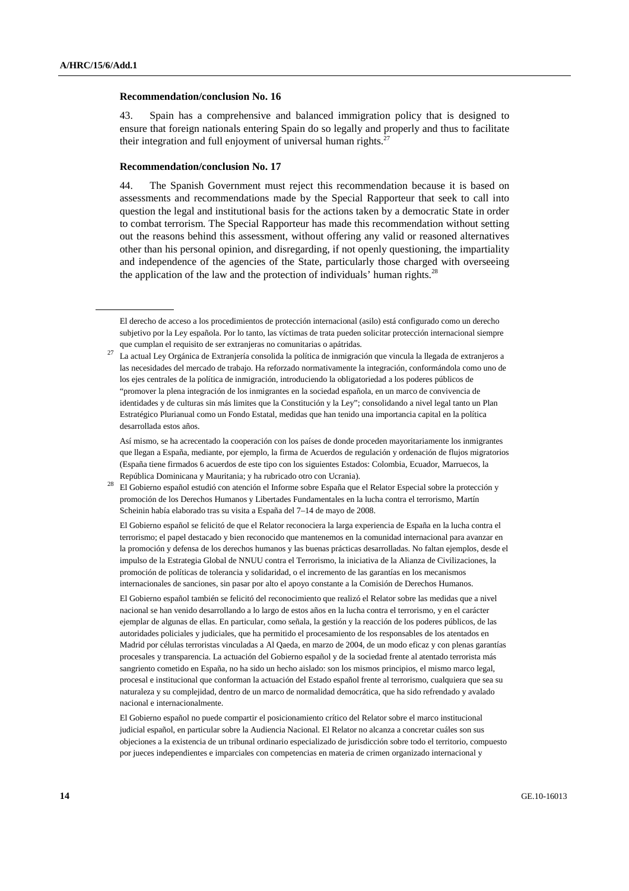#### **Recommendation/conclusion No. 16**

43. Spain has a comprehensive and balanced immigration policy that is designed to ensure that foreign nationals entering Spain do so legally and properly and thus to facilitate their integration and full enjoyment of universal human rights. $27$ 

#### **Recommendation/conclusion No. 17**

44. The Spanish Government must reject this recommendation because it is based on assessments and recommendations made by the Special Rapporteur that seek to call into question the legal and institutional basis for the actions taken by a democratic State in order to combat terrorism. The Special Rapporteur has made this recommendation without setting out the reasons behind this assessment, without offering any valid or reasoned alternatives other than his personal opinion, and disregarding, if not openly questioning, the impartiality and independence of the agencies of the State, particularly those charged with overseeing the application of the law and the protection of individuals' human rights.<sup>28</sup>

 El Gobierno español se felicitó de que el Relator reconociera la larga experiencia de España en la lucha contra el terrorismo; el papel destacado y bien reconocido que mantenemos en la comunidad internacional para avanzar en la promoción y defensa de los derechos humanos y las buenas prácticas desarrolladas. No faltan ejemplos, desde el impulso de la Estrategia Global de NNUU contra el Terrorismo, la iniciativa de la Alianza de Civilizaciones, la promoción de políticas de tolerancia y solidaridad, o el incremento de las garantías en los mecanismos internacionales de sanciones, sin pasar por alto el apoyo constante a la Comisión de Derechos Humanos.

 El Gobierno español también se felicitó del reconocimiento que realizó el Relator sobre las medidas que a nivel nacional se han venido desarrollando a lo largo de estos años en la lucha contra el terrorismo, y en el carácter ejemplar de algunas de ellas. En particular, como señala, la gestión y la reacción de los poderes públicos, de las autoridades policiales y judiciales, que ha permitido el procesamiento de los responsables de los atentados en Madrid por células terroristas vinculadas a Al Qaeda, en marzo de 2004, de un modo eficaz y con plenas garantías procesales y transparencia. La actuación del Gobierno español y de la sociedad frente al atentado terrorista más sangriento cometido en España, no ha sido un hecho aislado: son los mismos principios, el mismo marco legal, procesal e institucional que conforman la actuación del Estado español frente al terrorismo, cualquiera que sea su naturaleza y su complejidad, dentro de un marco de normalidad democrática, que ha sido refrendado y avalado nacional e internacionalmente.

 El Gobierno español no puede compartir el posicionamiento crítico del Relator sobre el marco institucional judicial español, en particular sobre la Audiencia Nacional. El Relator no alcanza a concretar cuáles son sus objeciones a la existencia de un tribunal ordinario especializado de jurisdicción sobre todo el territorio, compuesto por jueces independientes e imparciales con competencias en materia de crimen organizado internacional y

El derecho de acceso a los procedimientos de protección internacional (asilo) está configurado como un derecho subjetivo por la Ley española. Por lo tanto, las víctimas de trata pueden solicitar protección internacional siempre que cumplan el requisito de ser extranjeras no comunitarias o apátridas.

<sup>27</sup> La actual Ley Orgánica de Extranjería consolida la política de inmigración que vincula la llegada de extranjeros a las necesidades del mercado de trabajo. Ha reforzado normativamente la integración, conformándola como uno de los ejes centrales de la política de inmigración, introduciendo la obligatoriedad a los poderes públicos de "promover la plena integración de los inmigrantes en la sociedad española, en un marco de convivencia de identidades y de culturas sin más limites que la Constitución y la Ley"; consolidando a nivel legal tanto un Plan Estratégico Plurianual como un Fondo Estatal, medidas que han tenido una importancia capital en la política desarrollada estos años.

Así mismo, se ha acrecentado la cooperación con los países de donde proceden mayoritariamente los inmigrantes que llegan a España, mediante, por ejemplo, la firma de Acuerdos de regulación y ordenación de flujos migratorios (España tiene firmados 6 acuerdos de este tipo con los siguientes Estados: Colombia, Ecuador, Marruecos, la República Dominicana y Mauritania; y ha rubricado otro con Ucrania).

<sup>28</sup> El Gobierno español estudió con atención el Informe sobre España que el Relator Especial sobre la protección y promoción de los Derechos Humanos y Libertades Fundamentales en la lucha contra el terrorismo, Martín Scheinin había elaborado tras su visita a España del 7–14 de mayo de 2008.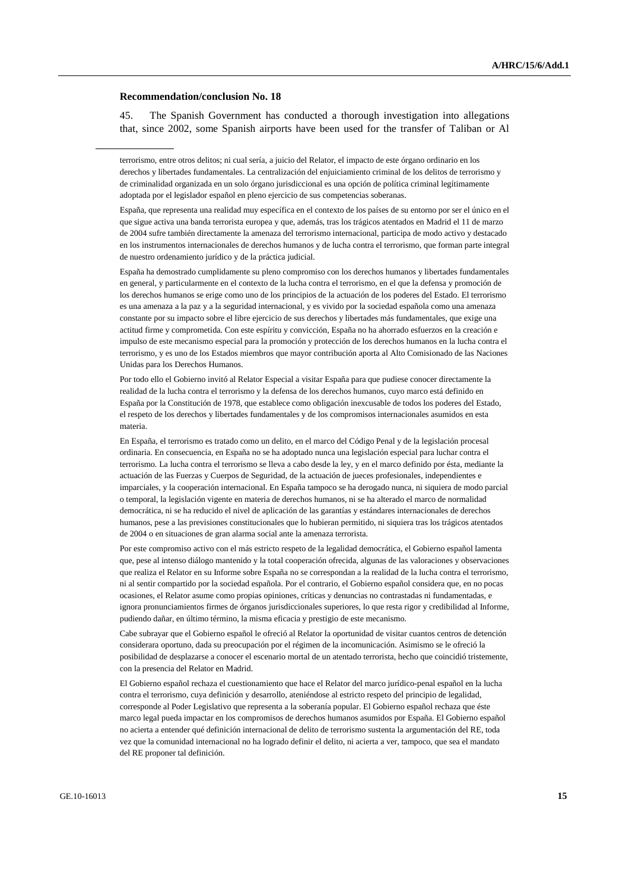#### **Recommendation/conclusion No. 18**

45. The Spanish Government has conducted a thorough investigation into allegations that, since 2002, some Spanish airports have been used for the transfer of Taliban or Al

 España, que representa una realidad muy específica en el contexto de los países de su entorno por ser el único en el que sigue activa una banda terrorista europea y que, además, tras los trágicos atentados en Madrid el 11 de marzo de 2004 sufre también directamente la amenaza del terrorismo internacional, participa de modo activo y destacado en los instrumentos internacionales de derechos humanos y de lucha contra el terrorismo, que forman parte integral de nuestro ordenamiento jurídico y de la práctica judicial.

 España ha demostrado cumplidamente su pleno compromiso con los derechos humanos y libertades fundamentales en general, y particularmente en el contexto de la lucha contra el terrorismo, en el que la defensa y promoción de los derechos humanos se erige como uno de los principios de la actuación de los poderes del Estado. El terrorismo es una amenaza a la paz y a la seguridad internacional, y es vivido por la sociedad española como una amenaza constante por su impacto sobre el libre ejercicio de sus derechos y libertades más fundamentales, que exige una actitud firme y comprometida. Con este espíritu y convicción, España no ha ahorrado esfuerzos en la creación e impulso de este mecanismo especial para la promoción y protección de los derechos humanos en la lucha contra el terrorismo, y es uno de los Estados miembros que mayor contribución aporta al Alto Comisionado de las Naciones Unidas para los Derechos Humanos.

 Por todo ello el Gobierno invitó al Relator Especial a visitar España para que pudiese conocer directamente la realidad de la lucha contra el terrorismo y la defensa de los derechos humanos, cuyo marco está definido en España por la Constitución de 1978, que establece como obligación inexcusable de todos los poderes del Estado, el respeto de los derechos y libertades fundamentales y de los compromisos internacionales asumidos en esta materia.

 En España, el terrorismo es tratado como un delito, en el marco del Código Penal y de la legislación procesal ordinaria. En consecuencia, en España no se ha adoptado nunca una legislación especial para luchar contra el terrorismo. La lucha contra el terrorismo se lleva a cabo desde la ley, y en el marco definido por ésta, mediante la actuación de las Fuerzas y Cuerpos de Seguridad, de la actuación de jueces profesionales, independientes e imparciales, y la cooperación internacional. En España tampoco se ha derogado nunca, ni siquiera de modo parcial o temporal, la legislación vigente en materia de derechos humanos, ni se ha alterado el marco de normalidad democrática, ni se ha reducido el nivel de aplicación de las garantías y estándares internacionales de derechos humanos, pese a las previsiones constitucionales que lo hubieran permitido, ni siquiera tras los trágicos atentados de 2004 o en situaciones de gran alarma social ante la amenaza terrorista.

 Por este compromiso activo con el más estricto respeto de la legalidad democrática, el Gobierno español lamenta que, pese al intenso diálogo mantenido y la total cooperación ofrecida, algunas de las valoraciones y observaciones que realiza el Relator en su Informe sobre España no se correspondan a la realidad de la lucha contra el terrorismo, ni al sentir compartido por la sociedad española. Por el contrario, el Gobierno español considera que, en no pocas ocasiones, el Relator asume como propias opiniones, críticas y denuncias no contrastadas ni fundamentadas, e ignora pronunciamientos firmes de órganos jurisdiccionales superiores, lo que resta rigor y credibilidad al Informe, pudiendo dañar, en último término, la misma eficacia y prestigio de este mecanismo.

 Cabe subrayar que el Gobierno español le ofreció al Relator la oportunidad de visitar cuantos centros de detención considerara oportuno, dada su preocupación por el régimen de la incomunicación. Asimismo se le ofreció la posibilidad de desplazarse a conocer el escenario mortal de un atentado terrorista, hecho que coincidió tristemente, con la presencia del Relator en Madrid.

 El Gobierno español rechaza el cuestionamiento que hace el Relator del marco jurídico-penal español en la lucha contra el terrorismo, cuya definición y desarrollo, ateniéndose al estricto respeto del principio de legalidad, corresponde al Poder Legislativo que representa a la soberanía popular. El Gobierno español rechaza que éste marco legal pueda impactar en los compromisos de derechos humanos asumidos por España. El Gobierno español no acierta a entender qué definición internacional de delito de terrorismo sustenta la argumentación del RE, toda vez que la comunidad internacional no ha logrado definir el delito, ni acierta a ver, tampoco, que sea el mandato del RE proponer tal definición.

terrorismo, entre otros delitos; ni cual sería, a juicio del Relator, el impacto de este órgano ordinario en los derechos y libertades fundamentales. La centralización del enjuiciamiento criminal de los delitos de terrorismo y de criminalidad organizada en un solo órgano jurisdiccional es una opción de política criminal legítimamente adoptada por el legislador español en pleno ejercicio de sus competencias soberanas.